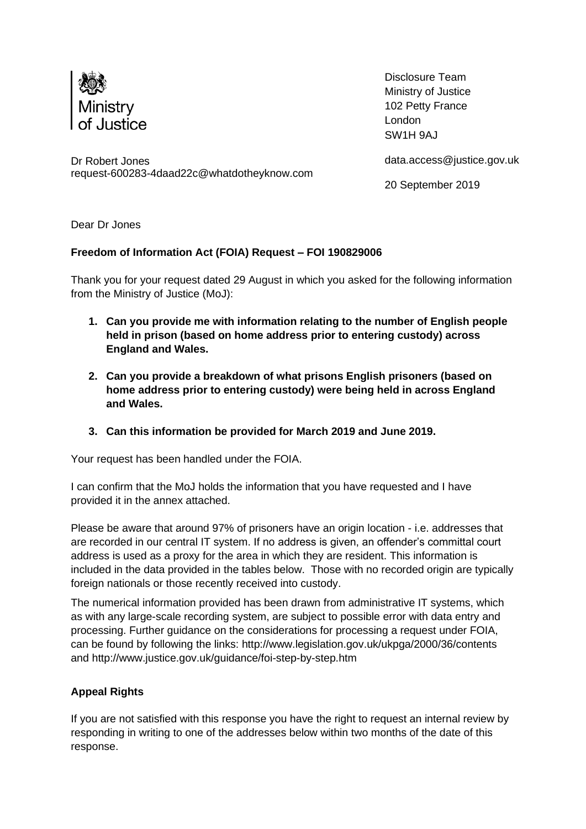

Disclosure Team Ministry of Justice 102 Petty France London SW1H 9AJ

Dr Robert Jones request-600283-4daad22c@whatdotheyknow.com [data.access@justice.gov.uk](mailto:xxxx.xxxxxx@xxxxxxx.xxx.xx)

20 September 2019

Dear Dr Jones

## **Freedom of Information Act (FOIA) Request – FOI 190829006**

Thank you for your request dated 29 August in which you asked for the following information from the Ministry of Justice (MoJ):

- **1. Can you provide me with information relating to the number of English people held in prison (based on home address prior to entering custody) across England and Wales.**
- **2. Can you provide a breakdown of what prisons English prisoners (based on home address prior to entering custody) were being held in across England and Wales.**
- **3. Can this information be provided for March 2019 and June 2019.**

Your request has been handled under the FOIA.

I can confirm that the MoJ holds the information that you have requested and I have provided it in the annex attached.

Please be aware that around 97% of prisoners have an origin location - i.e. addresses that are recorded in our central IT system. If no address is given, an offender's committal court address is used as a proxy for the area in which they are resident. This information is included in the data provided in the tables below. Those with no recorded origin are typically foreign nationals or those recently received into custody.

The numerical information provided has been drawn from administrative IT systems, which as with any large-scale recording system, are subject to possible error with data entry and processing. Further guidance on the considerations for processing a request under FOIA, can be found by following the links: http://www.legislation.gov.uk/ukpga/2000/36/contents and<http://www.justice.gov.uk/guidance/foi-step-by-step.htm>

## **Appeal Rights**

If you are not satisfied with this response you have the right to request an internal review by responding in writing to one of the addresses below within two months of the date of this response.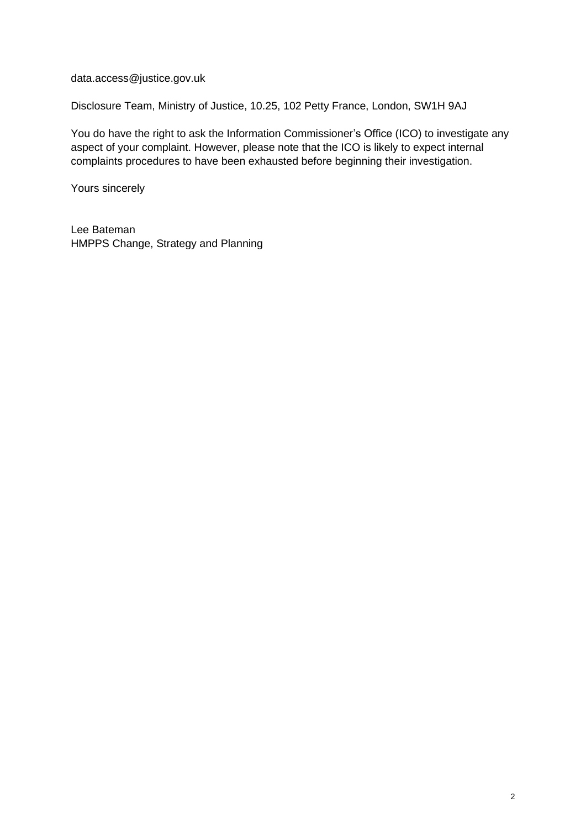[data.access@justice.gov.uk](mailto:xxxx.xxxxxx@xxxxxxx.xxx.xx)

Disclosure Team, Ministry of Justice, 10.25, 102 Petty France, London, SW1H 9AJ

You do have the right to ask the Information Commissioner's Office (ICO) to investigate any aspect of your complaint. However, please note that the ICO is likely to expect internal complaints procedures to have been exhausted before beginning their investigation.

Yours sincerely

Lee Bateman HMPPS Change, Strategy and Planning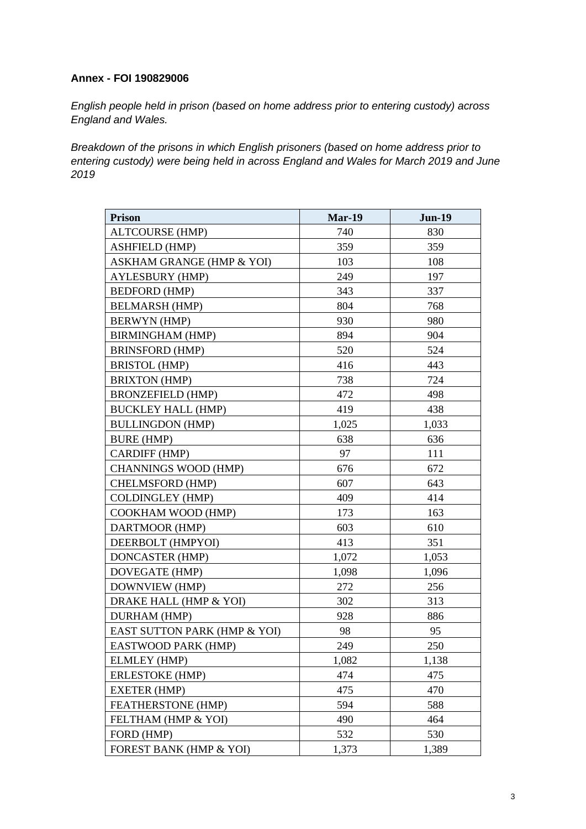## **Annex - FOI 190829006**

*English people held in prison (based on home address prior to entering custody) across England and Wales.* 

*Breakdown of the prisons in which English prisoners (based on home address prior to entering custody) were being held in across England and Wales for March 2019 and June 2019*

| <b>Prison</b>                | <b>Mar-19</b> | <b>Jun-19</b> |
|------------------------------|---------------|---------------|
| <b>ALTCOURSE (HMP)</b>       | 740           | 830           |
| <b>ASHFIELD (HMP)</b>        | 359           | 359           |
| ASKHAM GRANGE (HMP & YOI)    | 103           | 108           |
| <b>AYLESBURY (HMP)</b>       | 249           | 197           |
| <b>BEDFORD (HMP)</b>         | 343           | 337           |
| <b>BELMARSH (HMP)</b>        | 804           | 768           |
| <b>BERWYN</b> (HMP)          | 930           | 980           |
| <b>BIRMINGHAM (HMP)</b>      | 894           | 904           |
| <b>BRINSFORD (HMP)</b>       | 520           | 524           |
| <b>BRISTOL (HMP)</b>         | 416           | 443           |
| <b>BRIXTON (HMP)</b>         | 738           | 724           |
| <b>BRONZEFIELD (HMP)</b>     | 472           | 498           |
| <b>BUCKLEY HALL (HMP)</b>    | 419           | 438           |
| <b>BULLINGDON (HMP)</b>      | 1,025         | 1,033         |
| <b>BURE (HMP)</b>            | 638           | 636           |
| CARDIFF (HMP)                | 97            | 111           |
| <b>CHANNINGS WOOD (HMP)</b>  | 676           | 672           |
| <b>CHELMSFORD (HMP)</b>      | 607           | 643           |
| <b>COLDINGLEY (HMP)</b>      | 409           | 414           |
| COOKHAM WOOD (HMP)           | 173           | 163           |
| DARTMOOR (HMP)               | 603           | 610           |
| DEERBOLT (HMPYOI)            | 413           | 351           |
| DONCASTER (HMP)              | 1,072         | 1,053         |
| DOVEGATE (HMP)               | 1,098         | 1,096         |
| DOWNVIEW (HMP)               | 272           | 256           |
| DRAKE HALL (HMP & YOI)       | 302           | 313           |
| DURHAM (HMP)                 | 928           | 886           |
| EAST SUTTON PARK (HMP & YOI) | 98            | 95            |
| EASTWOOD PARK (HMP)          | 249           | 250           |
| <b>ELMLEY (HMP)</b>          | 1,082         | 1,138         |
| <b>ERLESTOKE (HMP)</b>       | 474           | 475           |
| <b>EXETER (HMP)</b>          | 475           | 470           |
| FEATHERSTONE (HMP)           | 594           | 588           |
| FELTHAM (HMP & YOI)          | 490           | 464           |
| FORD (HMP)                   | 532           | 530           |
| FOREST BANK (HMP & YOI)      | 1,373         | 1,389         |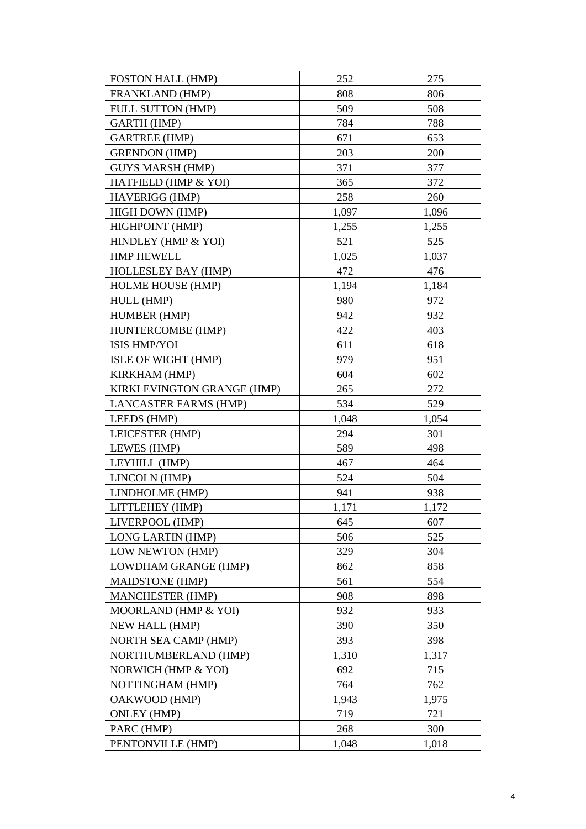| <b>FOSTON HALL (HMP)</b>     | 252   | 275   |
|------------------------------|-------|-------|
| FRANKLAND (HMP)              | 808   | 806   |
| <b>FULL SUTTON (HMP)</b>     | 509   | 508   |
| <b>GARTH (HMP)</b>           | 784   | 788   |
| <b>GARTREE (HMP)</b>         | 671   | 653   |
| <b>GRENDON (HMP)</b>         | 203   | 200   |
| <b>GUYS MARSH (HMP)</b>      | 371   | 377   |
| HATFIELD (HMP & YOI)         | 365   | 372   |
| HAVERIGG (HMP)               | 258   | 260   |
| HIGH DOWN (HMP)              | 1,097 | 1,096 |
| HIGHPOINT (HMP)              | 1,255 | 1,255 |
| HINDLEY (HMP & YOI)          | 521   | 525   |
| <b>HMP HEWELL</b>            | 1,025 | 1,037 |
| <b>HOLLESLEY BAY (HMP)</b>   | 472   | 476   |
| <b>HOLME HOUSE (HMP)</b>     | 1,194 | 1,184 |
| HULL (HMP)                   | 980   | 972   |
| HUMBER (HMP)                 | 942   | 932   |
| HUNTERCOMBE (HMP)            | 422   | 403   |
| ISIS HMP/YOI                 | 611   | 618   |
| ISLE OF WIGHT (HMP)          | 979   | 951   |
| <b>KIRKHAM (HMP)</b>         | 604   | 602   |
| KIRKLEVINGTON GRANGE (HMP)   | 265   | 272   |
| <b>LANCASTER FARMS (HMP)</b> | 534   | 529   |
| LEEDS (HMP)                  | 1,048 | 1,054 |
| LEICESTER (HMP)              | 294   | 301   |
| LEWES (HMP)                  | 589   | 498   |
| LEYHILL (HMP)                | 467   | 464   |
| LINCOLN (HMP)                | 524   | 504   |
| LINDHOLME (HMP)              | 941   | 938   |
| LITTLEHEY (HMP)              | 1,171 | 1,172 |
| LIVERPOOL (HMP)              | 645   | 607   |
| LONG LARTIN (HMP)            | 506   | 525   |
| LOW NEWTON (HMP)             | 329   | 304   |
| LOWDHAM GRANGE (HMP)         | 862   | 858   |
| <b>MAIDSTONE (HMP)</b>       | 561   | 554   |
| MANCHESTER (HMP)             | 908   | 898   |
| MOORLAND (HMP & YOI)         | 932   | 933   |
| <b>NEW HALL (HMP)</b>        | 390   | 350   |
| <b>NORTH SEA CAMP (HMP)</b>  | 393   | 398   |
| NORTHUMBERLAND (HMP)         | 1,310 | 1,317 |
| NORWICH (HMP & YOI)          | 692   | 715   |
| NOTTINGHAM (HMP)             | 764   | 762   |
| OAKWOOD (HMP)                | 1,943 | 1,975 |
| <b>ONLEY (HMP)</b>           | 719   | 721   |
| PARC (HMP)                   | 268   | 300   |
| PENTONVILLE (HMP)            | 1,048 | 1,018 |